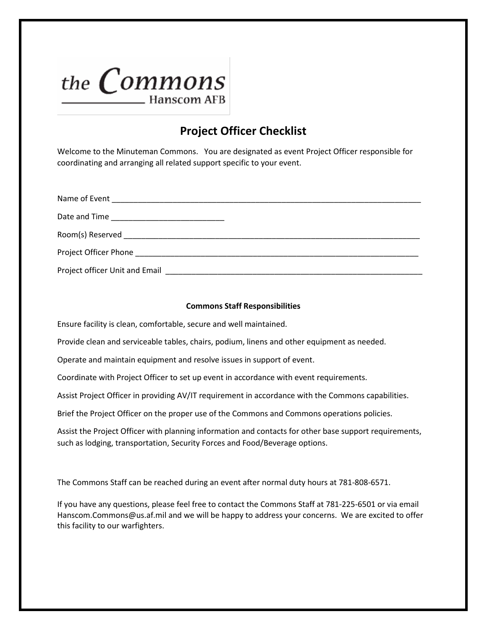

## **Project Officer Checklist**

Welcome to the Minuteman Commons. You are designated as event Project Officer responsible for coordinating and arranging all related support specific to your event.

| Project officer Unit and Email |  |
|--------------------------------|--|

## **Commons Staff Responsibilities**

Ensure facility is clean, comfortable, secure and well maintained.

Provide clean and serviceable tables, chairs, podium, linens and other equipment as needed.

Operate and maintain equipment and resolve issues in support of event.

Coordinate with Project Officer to set up event in accordance with event requirements.

Assist Project Officer in providing AV/IT requirement in accordance with the Commons capabilities.

Brief the Project Officer on the proper use of the Commons and Commons operations policies.

Assist the Project Officer with planning information and contacts for other base support requirements, such as lodging, transportation, Security Forces and Food/Beverage options.

The Commons Staff can be reached during an event after normal duty hours at 781-808-6571.

If you have any questions, please feel free to contact the Commons Staff at 781-225-6501 or via email Hanscom.Commons@us.af.mil and we will be happy to address your concerns. We are excited to offer this facility to our warfighters.